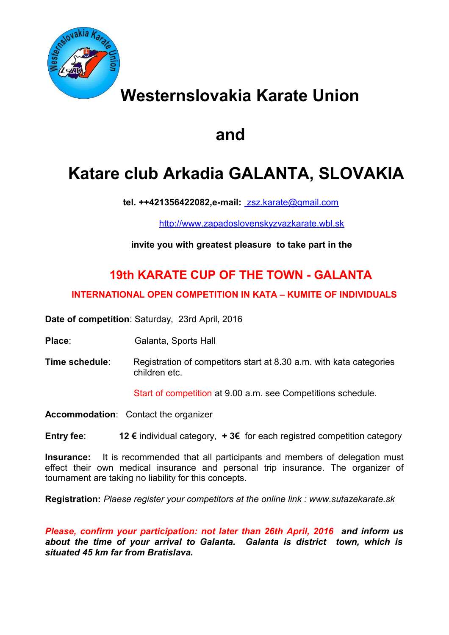

# **Westernslovakia Karate Union**

# **and**

# **Katare club Arkadia GALANTA, SLOVAKIA**

 **tel. ++421356422082,e-mail:** [zsz.karate@gmail.com](mailto:%20zsz.karate@nextra.sk)

[http://www.zapadoslovenskyzvazkarate.wbl.sk](http://www.zapadoslovenskyzvazkarate.wbl.sk/)

**invite you with greatest pleasure to take part in the** 

## **19th KARATE CUP OF THE TOWN - GALANTA**

### **INTERNATIONAL OPEN COMPETITION IN KATA – KUMITE OF INDIVIDUALS**

**Date of competition**: Saturday, 23rd April, 2016

- **Place:** Galanta, Sports Hall
- **Time schedule:** Registration of competitors start at 8.30 a.m. with kata categories children etc.

Start of competition at 9.00 a.m. see Competitions schedule.

**Accommodation**: Contact the organizer

**Entry fee**: **12 €** individual category, **+ 3€** for each registred competition category

**Insurance:** It is recommended that all participants and members of delegation must effect their own medical insurance and personal trip insurance. The organizer of tournament are taking no liability for this concepts.

**Registration:** *Plaese register your competitors at the online link : www.sutazekarate.sk* 

*Please, confirm your participation: not later than 26th April, 2016 and inform us about the time of your arrival to Galanta. Galanta is district town, which is situated 45 km far from Bratislava.*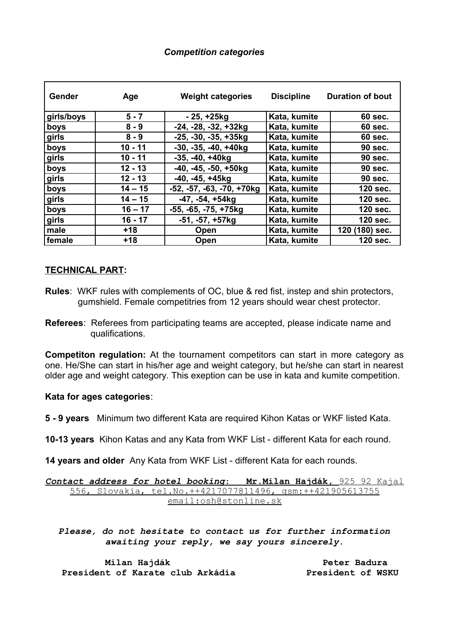### *Competition categories*

| <b>Gender</b> | Age       | <b>Weight categories</b>    | <b>Discipline</b> | <b>Duration of bout</b> |
|---------------|-----------|-----------------------------|-------------------|-------------------------|
| girls/boys    | $5 - 7$   | $-25, +25kg$                | Kata, kumite      | 60 sec.                 |
| boys          | $8 - 9$   | $-24, -28, -32, +32kg$      | Kata, kumite      | 60 sec.                 |
| girls         | $8 - 9$   | $-25, -30, -35, +35kg$      | Kata, kumite      | 60 sec.                 |
| boys          | $10 - 11$ | $-30, -35, -40, +40kg$      | Kata, kumite      | <b>90 sec.</b>          |
| girls         | $10 - 11$ | $-35, -40, +40kg$           | Kata, kumite      | <b>90 sec.</b>          |
| boys          | $12 - 13$ | $-40, -45, -50, +50kg$      | Kata, kumite      | <b>90 sec.</b>          |
| girls         | 12 - 13   | $-40, -45, +45kg$           | Kata, kumite      | <b>90 sec.</b>          |
| boys          | $14 - 15$ | $-52, -57, -63, -70, +70kg$ | Kata, kumite      | 120 sec.                |
| girls         | $14 - 15$ | $-47, -54, +54kg$           | Kata, kumite      | 120 sec.                |
| boys          | $16 - 17$ | -55, -65, -75, +75kg        | Kata, kumite      | 120 sec.                |
| girls         | $16 - 17$ | $-51, -57, +57kg$           | Kata, kumite      | 120 sec.                |
| male          | $+18$     | Open                        | Kata, kumite      | 120 (180) sec.          |
| female        | $+18$     | Open                        | Kata, kumite      | 120 sec.                |

### **TECHNICAL PART:**

- **Rules**: WKF rules with complements of OC, blue & red fist, instep and shin protectors, gumshield. Female competitries from 12 years should wear chest protector.
- **Referees**: Referees from participating teams are accepted, please indicate name and qualifications.

**Competiton regulation:** At the tournament competitors can start in more category as one. He/She can start in his/her age and weight category, but he/she can start in nearest older age and weight category. This exeption can be use in kata and kumite competition.

### **Kata for ages categories**:

**5 - 9 years** Minimum two different Kata are required Kihon Katas or WKF listed Kata.

**10-13 years** Kihon Katas and any Kata from WKF List - different Kata for each round.

**14 years and older** Any Kata from WKF List - different Kata for each rounds.

 *Contact address for hotel booking*: **Mr.Milan Hajdák,** 925 92 Kajal 556, Slovakia, tel.No.++4217077811496, gsm:++421905613755 email:osh@stonline.sk

*Please, do not hesitate to contact us for further information awaiting your reply, we say yours sincerely***.**

 **Milan Hajdák Peter Badura** President of Karate club Arkádia **President of WSKU**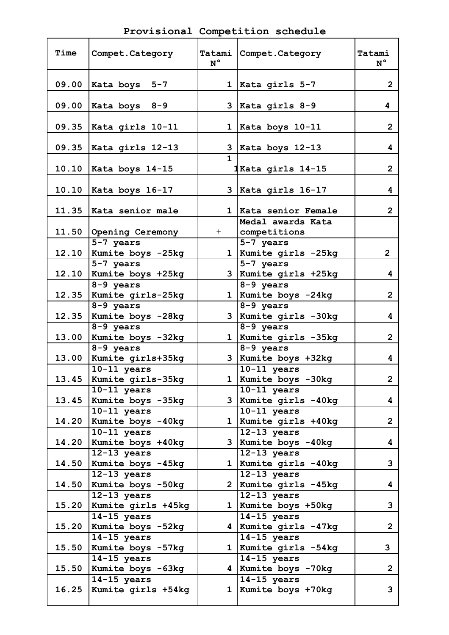| Time  | Compet. Category                    | Tatami<br>$N^{\circ}$ | Compet.Category                             | Tatami<br>$N^{\circ}$ |
|-------|-------------------------------------|-----------------------|---------------------------------------------|-----------------------|
| 09.00 | Kata boys 5-7                       |                       | 1   Kata girls $5-7$                        | $\overline{2}$        |
| 09.00 | $\vert$ Kata boys 8-9               |                       | $3$   Kata girls 8-9                        | 4                     |
| 09.35 | Kata girls 10-11                    |                       | 1   Kata boys $10-11$                       | $\overline{2}$        |
| 09.35 | Kata girls $12-13$                  | $\mathbf{1}$          | 3   Kata boys $12-13$                       | 4                     |
|       | 10.10   Kata boys 14-15             |                       | 1Kata girls 14-15                           | $\overline{2}$        |
| 10.10 | Kata boys 16-17                     |                       | $3$   Kata girls 16-17                      | 4                     |
|       | 11.35   Kata senior male            |                       | 1   Kata senior Female<br>Medal awards Kata | $\overline{2}$        |
|       | 11.50 Opening Ceremony              | $+$                   | competitions                                |                       |
| 12.10 | 5-7 years<br>Kumite boys -25kg      |                       | 5-7 years<br>1   Kumite girls -25kg         | $\overline{2}$        |
| 12.10 | 5-7 years<br>Kumite boys +25kg      |                       | $5-7$ years<br>3 Kumite girls +25kg         | 4                     |
| 12.35 | 8-9 years<br>Kumite girls-25kg      |                       | 8-9 years<br>1 Kumite boys -24kg            | $\overline{2}$        |
| 12.35 | 8-9 years<br>Kumite boys -28kg      |                       | 8-9 years<br>3   Kumite girls - 30kg        | 4                     |
| 13.00 | 8-9 years<br>Kumite boys -32kg      |                       | $8-9$ years<br>1   Kumite girls - 35 kg     | $\overline{2}$        |
| 13.00 | 8-9 years<br>Kumite girls+35kg      |                       | 8-9 years<br>$3$ Kumite boys +32kg          | 4                     |
| 13.45 | $10-11$ years<br>Kumite girls-35kg  |                       | $10-11$ years<br>1   Kumite boys -30kg      | $\overline{2}$        |
| 13.45 | $10-11$ years<br>Kumite boys -35kg  |                       | $10-11$ years<br>3 Kumite girls -40kg       | 4                     |
| 14.20 | $10-11$ years<br>Kumite boys -40kg  | 1                     | $10-11$ years<br>Kumite girls +40kg         | $\overline{2}$        |
| 14.20 | $10-11$ years<br>Kumite boys +40kg  |                       | $12-13$ years<br>3 Kumite boys -40kg        | 4                     |
| 14.50 | $12-13$ years<br>Kumite boys -45kg  |                       | $12-13$ years<br>1 Kumite girls -40kg       | 3                     |
| 14.50 | $12-13$ years<br>Kumite boys -50kg  | 2 <sup>1</sup>        | $12-13$ years<br>Kumite girls -45kg         | 4                     |
| 15.20 | $12-13$ years<br>Kumite girls +45kg |                       | $12-13$ years<br>1 Kumite boys +50kg        | 3                     |
| 15.20 | $14-15$ years<br>Kumite boys -52kg  |                       | $14-15$ years<br>4 Kumite girls -47kg       | $\overline{2}$        |
| 15.50 | $14-15$ years<br>Kumite boys -57kg  |                       | $14-15$ years<br>1 Kumite girls -54kg       | 3                     |
| 15.50 | $14-15$ years<br>Kumite boys -63kg  |                       | $14-15$ years<br>4 Kumite boys -70kg        | $\overline{2}$        |
| 16.25 | $14-15$ years<br>Kumite girls +54kg | $\mathbf 1$           | $14-15$ years<br>Kumite boys +70kg          | 3                     |
|       |                                     |                       |                                             |                       |

**Provisional Competition schedule**